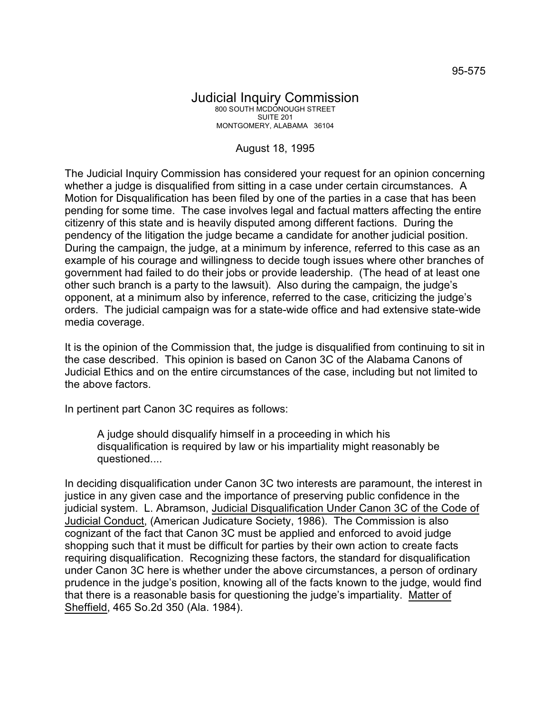## Judicial Inquiry Commission 800 SOUTH MCDONOUGH STREET SUITE 201 MONTGOMERY, ALABAMA 36104

## August 18, 1995

The Judicial Inquiry Commission has considered your request for an opinion concerning whether a judge is disqualified from sitting in a case under certain circumstances. A Motion for Disqualification has been filed by one of the parties in a case that has been pending for some time. The case involves legal and factual matters affecting the entire citizenry of this state and is heavily disputed among different factions. During the pendency of the litigation the judge became a candidate for another judicial position. During the campaign, the judge, at a minimum by inference, referred to this case as an example of his courage and willingness to decide tough issues where other branches of government had failed to do their jobs or provide leadership. (The head of at least one other such branch is a party to the lawsuit). Also during the campaign, the judge's opponent, at a minimum also by inference, referred to the case, criticizing the judge's orders. The judicial campaign was for a state-wide office and had extensive state-wide media coverage.

It is the opinion of the Commission that, the judge is disqualified from continuing to sit in the case described. This opinion is based on Canon 3C of the Alabama Canons of Judicial Ethics and on the entire circumstances of the case, including but not limited to the above factors.

In pertinent part Canon 3C requires as follows:

A judge should disqualify himself in a proceeding in which his disqualification is required by law or his impartiality might reasonably be questioned....

In deciding disqualification under Canon 3C two interests are paramount, the interest in justice in any given case and the importance of preserving public confidence in the judicial system. L. Abramson, Judicial Disqualification Under Canon 3C of the Code of Judicial Conduct, (American Judicature Society, 1986). The Commission is also cognizant of the fact that Canon 3C must be applied and enforced to avoid judge shopping such that it must be difficult for parties by their own action to create facts requiring disqualification. Recognizing these factors, the standard for disqualification under Canon 3C here is whether under the above circumstances, a person of ordinary prudence in the judge's position, knowing all of the facts known to the judge, would find that there is a reasonable basis for questioning the judge's impartiality. Matter of Sheffield, 465 So.2d 350 (Ala. 1984).